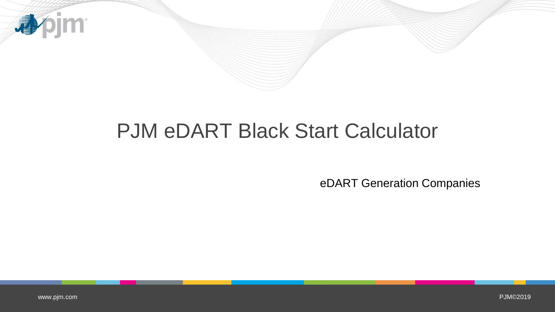

# PJM eDART Black Start Calculator

eDART Generation Companies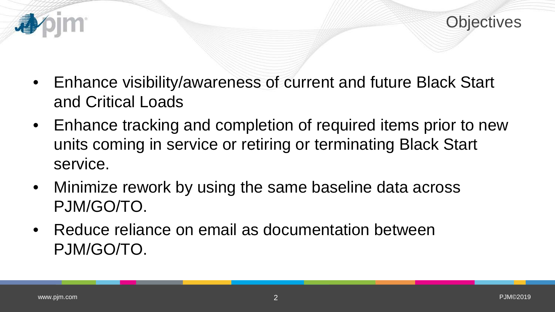

- Enhance visibility/awareness of current and future Black Start and Critical Loads
- Enhance tracking and completion of required items prior to new units coming in service or retiring or terminating Black Start service.
- Minimize rework by using the same baseline data across PJM/GO/TO.
- Reduce reliance on email as documentation between PJM/GO/TO.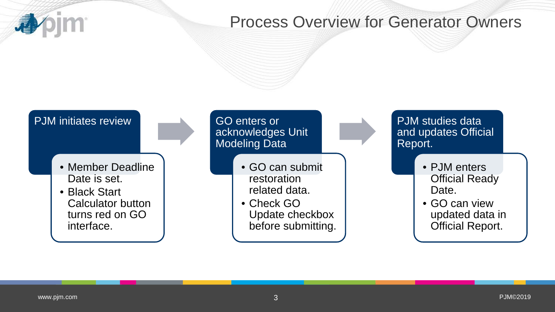

#### Process Overview for Generator Owners

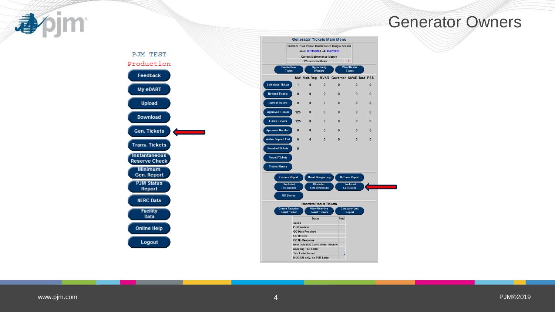

#### Generator Owners





[www.pjm.com](http://www.pjm.com/)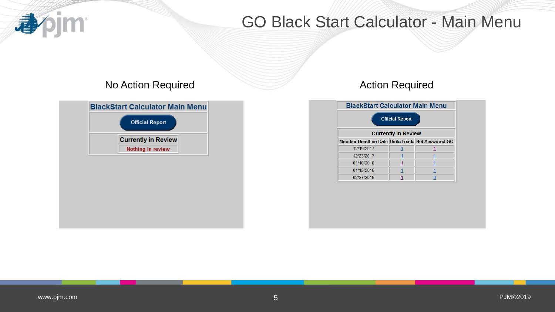

### GO Black Start Calculator - Main Menu

#### No Action Required **Action Required** Action Required

| <b>Official Report</b>     |  |
|----------------------------|--|
|                            |  |
| <b>Currently in Review</b> |  |
| Nothing in review          |  |

| <b>BlackStart Calculator Main Menu</b>               |  |  |  |  |  |  |  |  |  |  |  |  |  |  |
|------------------------------------------------------|--|--|--|--|--|--|--|--|--|--|--|--|--|--|
| <b>Official Report</b><br><b>Currently in Review</b> |  |  |  |  |  |  |  |  |  |  |  |  |  |  |
|                                                      |  |  |  |  |  |  |  |  |  |  |  |  |  |  |
| Member Deadline Date Units/Loads Not Answered GO     |  |  |  |  |  |  |  |  |  |  |  |  |  |  |
| 12/19/2017                                           |  |  |  |  |  |  |  |  |  |  |  |  |  |  |
| 12/23/2017                                           |  |  |  |  |  |  |  |  |  |  |  |  |  |  |
| 01/10/2018                                           |  |  |  |  |  |  |  |  |  |  |  |  |  |  |
| 01/15/2018                                           |  |  |  |  |  |  |  |  |  |  |  |  |  |  |
| 02/27/2018                                           |  |  |  |  |  |  |  |  |  |  |  |  |  |  |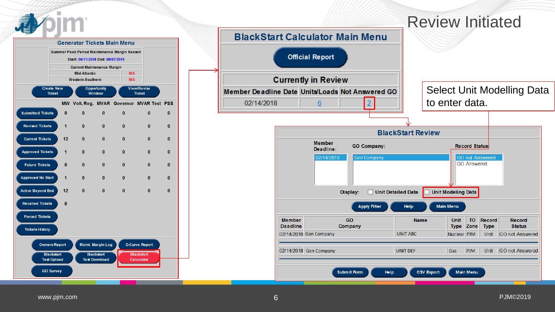

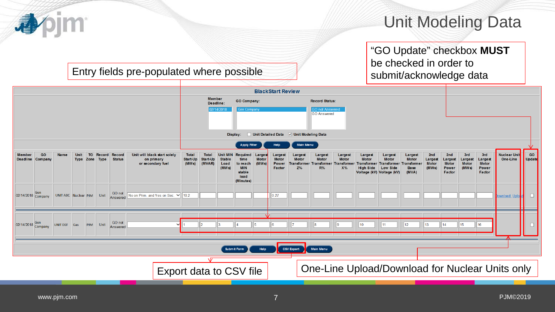#### Unit Modeling Data

"GO Update" checkbox **MUST** be checked in order to

#### Entry fields pre-populated where possible submit/acknowledge data

|                                                                                                                                                                                                                                                                                                                                                                                                                                                                                                                                                                                                                                                                                                                                                 |                                                                                                                                                                                                                                                  |                                             |              |                    |                           |                                | Unit Detailed Data V Unit Modeling Data<br>Display:<br>Main Menu<br><b>Apply Filter</b><br>Help |                                    |  |                                          |              |                                                                     |  |                                               |                                         |                                                                       |                                 |                     |    |    |    |    |           |                                                 |
|-------------------------------------------------------------------------------------------------------------------------------------------------------------------------------------------------------------------------------------------------------------------------------------------------------------------------------------------------------------------------------------------------------------------------------------------------------------------------------------------------------------------------------------------------------------------------------------------------------------------------------------------------------------------------------------------------------------------------------------------------|--------------------------------------------------------------------------------------------------------------------------------------------------------------------------------------------------------------------------------------------------|---------------------------------------------|--------------|--------------------|---------------------------|--------------------------------|-------------------------------------------------------------------------------------------------|------------------------------------|--|------------------------------------------|--------------|---------------------------------------------------------------------|--|-----------------------------------------------|-----------------------------------------|-----------------------------------------------------------------------|---------------------------------|---------------------|----|----|----|----|-----------|-------------------------------------------------|
|                                                                                                                                                                                                                                                                                                                                                                                                                                                                                                                                                                                                                                                                                                                                                 | <b>GO</b><br><b>TO</b><br>Record<br><b>Record</b><br>Unit will black start solely<br><b>Total</b><br><b>Name</b><br>Unit<br>Total<br>Unit MIN<br>Required<br>Largest<br>Largest<br>Largest<br>Largest<br>Larges<br>Largest<br>Largest<br>Largest |                                             |              |                    |                           |                                |                                                                                                 |                                    |  |                                          |              |                                                                     |  |                                               |                                         |                                                                       |                                 |                     |    |    |    |    |           |                                                 |
| <b>Member</b><br>2nd<br>2nd<br>Start-Up<br><b>Deadline</b><br>Type Zone Type<br><b>Status</b><br>Start-Up<br><b>Motor</b><br><b>Motor</b><br><b>Motor</b><br><b>Motor</b><br><b>Motor</b><br><b>Motor</b><br>Company<br>on primary<br>Stable<br>time<br><b>Motor</b><br><b>Motor</b><br>Largest<br>Largest<br>(MVAR)<br>or secondary fuel<br>(MWS)<br>(MWS)<br>ranstormer<br><b>Motor</b><br><b>Motor</b><br><b>Power</b><br>Transtormer<br><b>Transformer</b><br>Transtorme<br>Transformer Transformer<br>Load<br>to reach<br>$Z\%$<br><b>MIN</b><br>R%<br>X%<br><b>High Side</b><br><b>Low Side</b><br>(MWs)<br>(MWs)<br><b>Base</b><br><b>Power</b><br>Factor<br>Voltage (kV) Voltage (kV)<br>(MVA)<br>stable<br>Factor<br>load<br>(Minutes) |                                                                                                                                                                                                                                                  |                                             |              |                    |                           |                                |                                                                                                 |                                    |  |                                          |              |                                                                     |  |                                               | 3rd<br>Largest<br><b>Motor</b><br>(MWs) | 3rd<br>Largest<br><b>Motor</b><br>Power<br>Factor                     | <b>Nuclear Unit</b><br>One-Line | <b>GO</b><br>Update |    |    |    |    |           |                                                 |
|                                                                                                                                                                                                                                                                                                                                                                                                                                                                                                                                                                                                                                                                                                                                                 |                                                                                                                                                                                                                                                  |                                             |              |                    |                           |                                |                                                                                                 |                                    |  |                                          |              | $\parallel$ 0.27                                                    |  |                                               |                                         |                                                                       |                                 |                     |    |    |    |    | wnload Up |                                                 |
|                                                                                                                                                                                                                                                                                                                                                                                                                                                                                                                                                                                                                                                                                                                                                 |                                                                                                                                                                                                                                                  |                                             |              | $ $ Unit           | GO not                    |                                |                                                                                                 |                                    |  |                                          |              |                                                                     |  |                                               |                                         | 10 <sup>1</sup>                                                       | 11                              | 12                  | 13 | 14 | 15 | 16 |           |                                                 |
|                                                                                                                                                                                                                                                                                                                                                                                                                                                                                                                                                                                                                                                                                                                                                 |                                                                                                                                                                                                                                                  |                                             |              |                    |                           |                                |                                                                                                 |                                    |  |                                          | Help         |                                                                     |  |                                               |                                         |                                                                       |                                 |                     |    |    |    |    |           |                                                 |
|                                                                                                                                                                                                                                                                                                                                                                                                                                                                                                                                                                                                                                                                                                                                                 |                                                                                                                                                                                                                                                  |                                             |              |                    |                           |                                |                                                                                                 |                                    |  |                                          |              |                                                                     |  |                                               |                                         |                                                                       |                                 |                     |    |    |    |    |           |                                                 |
|                                                                                                                                                                                                                                                                                                                                                                                                                                                                                                                                                                                                                                                                                                                                                 |                                                                                                                                                                                                                                                  | 02/14/2018 Gen<br>Company<br>02/14/2018 Gen | UNIT DEF Gas | $\blacksquare$ PJM | UNIT ABC Nuclear PJM Unit | GO not<br>Answered<br>Answered |                                                                                                 | No on Prim. and Yes on Sec. v 10.2 |  | <b>Member</b><br>Deadline:<br>02/14/2018 | Subm it Form | <b>GO Company:</b><br><b>Gen Company</b><br>Export data to CSV file |  | <b>BlackStart Review</b><br><b>CSV Export</b> | Main Menu                               | <b>Record Status:</b><br><b>GO not Answered</b><br><b>GO Answered</b> |                                 |                     |    |    |    |    |           | One-Line Upload/Download for Nuclear Units only |

bjm<sup>.</sup>

4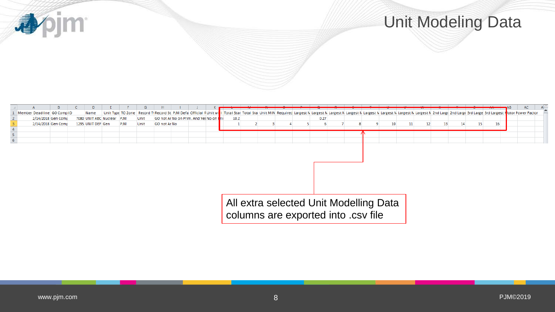

## Unit Modeling Data

|                                                                            |                            |  |                           |            |      | H            |                                         |  |                                        |  |  |  |  |      |  |  |  |    |  |                  |    |    |    |    | AC                                                                                                                                                                                                                             |
|----------------------------------------------------------------------------|----------------------------|--|---------------------------|------------|------|--------------|-----------------------------------------|--|----------------------------------------|--|--|--|--|------|--|--|--|----|--|------------------|----|----|----|----|--------------------------------------------------------------------------------------------------------------------------------------------------------------------------------------------------------------------------------|
|                                                                            | Member Deadline GO Comp ID |  | Name                      |            |      |              |                                         |  |                                        |  |  |  |  |      |  |  |  |    |  |                  |    |    |    |    | Unit Type TO Zone Record TyRecord St PJM Defa Official FUnit Will Total Star Total Star Total Star Total Star Minit MIN Required Largest N Largest N Largest N Largest N Largest N Largest N Largest N Largest N Largest N Lar |
|                                                                            | 2/14/2018 Gen Comp         |  | 7080 UNIT ABC Nuclear PJM |            | Unit |              | GO not Ar No on Prim. And Yes No on Fri |  | 10.2                                   |  |  |  |  | 0.27 |  |  |  |    |  |                  |    |    |    |    |                                                                                                                                                                                                                                |
|                                                                            | 2/14/2018 Gen Comp         |  | 1295 UNIT DEF Gen         | <b>PJM</b> | Unit | GO not Ar No |                                         |  |                                        |  |  |  |  |      |  |  |  | 10 |  | 12 <sup>12</sup> | 13 | 14 | 15 | 16 |                                                                                                                                                                                                                                |
|                                                                            |                            |  |                           |            |      |              |                                         |  |                                        |  |  |  |  |      |  |  |  |    |  |                  |    |    |    |    |                                                                                                                                                                                                                                |
| $\begin{array}{c c}\n\cdot & 4 \\ \hline\n4 & 5 \\ \hline\n6\n\end{array}$ |                            |  |                           |            |      |              |                                         |  |                                        |  |  |  |  |      |  |  |  |    |  |                  |    |    |    |    |                                                                                                                                                                                                                                |
|                                                                            |                            |  |                           |            |      |              |                                         |  |                                        |  |  |  |  |      |  |  |  |    |  |                  |    |    |    |    |                                                                                                                                                                                                                                |
|                                                                            |                            |  |                           |            |      |              |                                         |  |                                        |  |  |  |  |      |  |  |  |    |  |                  |    |    |    |    |                                                                                                                                                                                                                                |
|                                                                            |                            |  |                           |            |      |              |                                         |  |                                        |  |  |  |  |      |  |  |  |    |  |                  |    |    |    |    |                                                                                                                                                                                                                                |
|                                                                            |                            |  |                           |            |      |              |                                         |  |                                        |  |  |  |  |      |  |  |  |    |  |                  |    |    |    |    |                                                                                                                                                                                                                                |
|                                                                            |                            |  |                           |            |      |              |                                         |  |                                        |  |  |  |  |      |  |  |  |    |  |                  |    |    |    |    |                                                                                                                                                                                                                                |
|                                                                            |                            |  |                           |            |      |              |                                         |  |                                        |  |  |  |  |      |  |  |  |    |  |                  |    |    |    |    |                                                                                                                                                                                                                                |
|                                                                            |                            |  |                           |            |      |              |                                         |  |                                        |  |  |  |  |      |  |  |  |    |  |                  |    |    |    |    |                                                                                                                                                                                                                                |
|                                                                            |                            |  |                           |            |      |              |                                         |  |                                        |  |  |  |  |      |  |  |  |    |  |                  |    |    |    |    |                                                                                                                                                                                                                                |
|                                                                            |                            |  |                           |            |      |              |                                         |  |                                        |  |  |  |  |      |  |  |  |    |  |                  |    |    |    |    |                                                                                                                                                                                                                                |
|                                                                            |                            |  |                           |            |      |              |                                         |  |                                        |  |  |  |  |      |  |  |  |    |  |                  |    |    |    |    |                                                                                                                                                                                                                                |
|                                                                            |                            |  |                           |            |      |              |                                         |  |                                        |  |  |  |  |      |  |  |  |    |  |                  |    |    |    |    |                                                                                                                                                                                                                                |
|                                                                            |                            |  |                           |            |      |              |                                         |  | All extra selected Unit Modelling Data |  |  |  |  |      |  |  |  |    |  |                  |    |    |    |    |                                                                                                                                                                                                                                |
|                                                                            |                            |  |                           |            |      |              |                                         |  |                                        |  |  |  |  |      |  |  |  |    |  |                  |    |    |    |    |                                                                                                                                                                                                                                |
|                                                                            |                            |  |                           |            |      |              |                                         |  |                                        |  |  |  |  |      |  |  |  |    |  |                  |    |    |    |    |                                                                                                                                                                                                                                |
|                                                                            |                            |  |                           |            |      |              |                                         |  | columns are exported into .csv file    |  |  |  |  |      |  |  |  |    |  |                  |    |    |    |    |                                                                                                                                                                                                                                |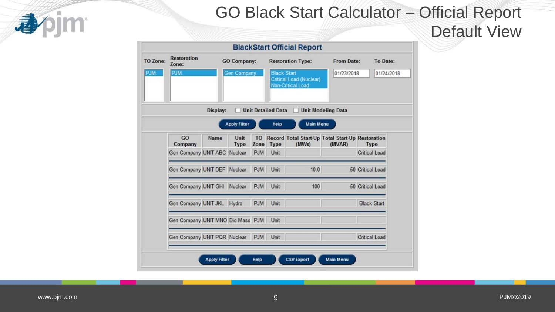

### GO Black Start Calculator – Official Report

Default View

| TO Zone:   | <b>Restoration</b><br>Zone:       |                              | <b>GO Company:</b>  |                   |                           | <b>BlackStart Official Report</b><br><b>Restoration Type:</b> | <b>From Date:</b>         | To Date:             |
|------------|-----------------------------------|------------------------------|---------------------|-------------------|---------------------------|---------------------------------------------------------------|---------------------------|----------------------|
| <b>PJM</b> | <b>PJM</b>                        |                              | <b>Gen Company</b>  |                   | <b>Black Start</b>        | <b>Critical Load (Nuclear)</b><br><b>Non-Critical Load</b>    | 01/23/2018                | 01/24/2018           |
|            |                                   | Display:                     |                     |                   | <b>Unit Detailed Data</b> |                                                               | <b>Unit Modeling Data</b> |                      |
|            |                                   |                              | <b>Apply Filter</b> |                   | Help                      | <b>Main Menu</b>                                              |                           |                      |
|            | GO<br>Company                     | Name                         | Unit<br><b>Type</b> | <b>TO</b><br>Zone | <b>Type</b>               | Record Total Start-Up Total Start-Up Restoration<br>(MWs)     | (MVAR)                    | <b>Type</b>          |
|            | Gen Company UNIT ABC Nuclear      |                              |                     | <b>PJM</b>        | Unit                      |                                                               |                           | <b>Critical Load</b> |
|            | Gen Company UNIT DEF Nuclear      |                              |                     | <b>PJM</b>        | Unit                      | 10.0                                                          |                           | 50 Critical Load     |
|            | Gen Company UNIT GHI Nuclear      |                              |                     | <b>PJM</b>        | Unit                      | 100                                                           |                           | 50 Critical Load     |
|            | Gen Company UNIT JKL Hydro        |                              |                     | <b>PJM</b>        | Unit                      |                                                               |                           | <b>Black Start</b>   |
|            | Gen Company UNIT MNO Bio Mass PJM |                              |                     |                   | Unit                      |                                                               |                           |                      |
|            |                                   | Gen Company UNIT PQR Nuclear |                     | <b>PJM</b>        | Unit                      |                                                               |                           | <b>Critical Load</b> |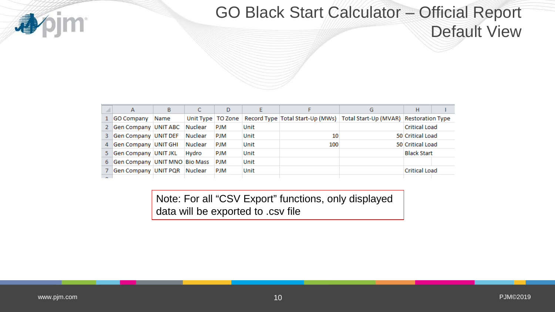

# GO Black Start Calculator – Official Report

Default View

| A                               | B    |                | D          |      |     | G                                                                                                   | н                    |  |
|---------------------------------|------|----------------|------------|------|-----|-----------------------------------------------------------------------------------------------------|----------------------|--|
| GO Company                      | Name |                |            |      |     | Unit Type   TO Zone   Record Type   Total Start-Up (MWs)   Total Start-Up (MVAR)   Restoration Type |                      |  |
| Gen Company UNIT ABC            |      | Nuclear        | PJM        | Unit |     |                                                                                                     | <b>Critical Load</b> |  |
| 3 Gen Company UNIT DEF          |      | Nuclear        | PJM        | Unit | 10  |                                                                                                     | 50 Critical Load     |  |
| 4 Gen Company UNIT GHI          |      | Nuclear        | PJM        | Unit | 100 |                                                                                                     | 50 Critical Load     |  |
| 5 Gen Company UNIT JKL          |      | Hydro          | PJM        | Unit |     |                                                                                                     | <b>Black Start</b>   |  |
| 6 Gen Company UNIT MNO Bio Mass |      |                | <b>PJM</b> | Unit |     |                                                                                                     |                      |  |
| Gen Company UNIT PQR            |      | <b>Nuclear</b> | PJM        | Unit |     |                                                                                                     | <b>Critical Load</b> |  |
|                                 |      |                |            |      |     |                                                                                                     |                      |  |

Note: For all "CSV Export" functions, only displayed data will be exported to .csv file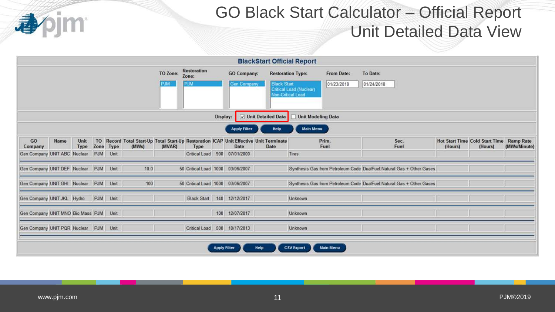

# GO Black Start Calculator – Official Report Unit Detailed Data View

|                                        |      |              |           |       |                 |                                    |                     |                                   | <b>BlackStart Official Report</b>                                                              |                                                                                        |                          |                                                                       |         |                                                  |                                  |
|----------------------------------------|------|--------------|-----------|-------|-----------------|------------------------------------|---------------------|-----------------------------------|------------------------------------------------------------------------------------------------|----------------------------------------------------------------------------------------|--------------------------|-----------------------------------------------------------------------|---------|--------------------------------------------------|----------------------------------|
|                                        |      |              |           |       | TO Zone:<br>MLP | <b>Restoration</b><br>Zone:<br>PJM |                     | <b>GO Company:</b><br>Gen Company | <b>Black Start</b>                                                                             | <b>Restoration Type:</b><br><b>Critical Load (Nuclear)</b><br><b>Non-Critical Load</b> | From Date:<br>01/23/2018 | To Date:<br>01/24/2018                                                |         |                                                  |                                  |
|                                        |      |              |           |       |                 |                                    | Display:            |                                   | Unit Detailed Data                                                                             | <b>Unit Modeling Data</b>                                                              |                          |                                                                       |         |                                                  |                                  |
|                                        |      |              |           |       |                 |                                    |                     | <b>Apply Filter</b>               | Help                                                                                           | <b>Main Menu</b>                                                                       |                          |                                                                       |         |                                                  |                                  |
| GO<br>Company                          | Name | Unit<br>Type | Zone Type | (MWs) | (MVAR)          | Type                               |                     | Date                              | TO Record Total Start-Up Total Start-Up Restoration ICAP Unit Effective Unit Terminate<br>Date |                                                                                        | Prim.<br>Fuel            | Sec.<br>Fuel                                                          | (Hours) | <b>Hot Start Time Cold Start Time</b><br>(Hours) | <b>Ramp Rate</b><br>(MWs/Minute) |
| Gen Company UNIT ABC Nuclear           |      |              | PJM Unit  |       |                 | <b>Critical Load</b>               |                     | 900 07/01/2000                    |                                                                                                | Tires                                                                                  |                          |                                                                       |         |                                                  |                                  |
| Gen Company UNIT DEF Nuclear PJM Unit  |      |              |           | 10.0  |                 | 50 Critical Load 1000 03/06/2007   |                     |                                   |                                                                                                |                                                                                        |                          | Synthesis Gas from Petroleum Code DualFuel:Natural Gas + Other Gases  |         |                                                  |                                  |
| Gen Company UNIT GHI Nuclear PJM Unit  |      |              |           | 100   |                 | 50 Critical Load 1000 03/06/2007   |                     |                                   |                                                                                                |                                                                                        |                          | Synthesis Gas from Petroleum Code DualFuel: Natural Gas + Other Gases |         |                                                  |                                  |
| Gen Company UNIT JKL Hydro             |      |              | PJM Unit  |       |                 |                                    |                     | Black Start 140 12/12/2017        |                                                                                                | Unknown                                                                                |                          |                                                                       |         |                                                  |                                  |
| Gen Company UNIT MNO Bio Mass PJM Unit |      |              |           |       |                 |                                    |                     | 100 12/07/2017                    |                                                                                                | Unknown                                                                                |                          |                                                                       |         |                                                  |                                  |
| Gen Company UNIT PQR Nuclear PJM Unit  |      |              |           |       |                 | Critical Load                      |                     | 500 10/17/2013                    |                                                                                                | Unknown                                                                                |                          |                                                                       |         |                                                  |                                  |
|                                        |      |              |           |       |                 |                                    | <b>Apply Filter</b> |                                   | Help                                                                                           | <b>CSV Export</b>                                                                      | <b>Main Menu</b>         |                                                                       |         |                                                  |                                  |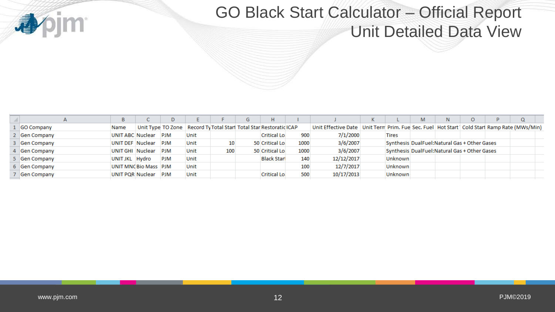

# GO Black Start Calculator – Official Report Unit Detailed Data View

|             |                  |                       |            |      |                                                                      | G | Н.                  |      |                                                                                                   |                | M | N                                             |  |  |
|-------------|------------------|-----------------------|------------|------|----------------------------------------------------------------------|---|---------------------|------|---------------------------------------------------------------------------------------------------|----------------|---|-----------------------------------------------|--|--|
| GO Company  | Name             |                       |            |      | Unit Type TO Zone   Record Ty Total Start Total Star Restoratio ICAP |   |                     |      | Unit Effective Date   Unit Term Prim. Fuel Sec. Fuel   Hot Start   Cold Start Ramp Rate (MWs/Min) |                |   |                                               |  |  |
| Gen Company | UNIT ABC Nuclear |                       | <b>PJM</b> | Unit |                                                                      |   | <b>Critical Lo.</b> | 900  | 7/1/2000                                                                                          | <b>Tires</b>   |   |                                               |  |  |
| Gen Company | UNIT DEF Nuclear |                       | <b>PJM</b> | Unit |                                                                      |   | 50 Critical Lo      | 1000 | 3/6/2007                                                                                          |                |   | Synthesis DualFuel: Natural Gas + Other Gases |  |  |
| Gen Company | UNIT GHI Nuclear |                       | <b>PJM</b> | Unit | 100                                                                  |   | 50 Critical Lo.     | 1000 | 3/6/2007                                                                                          |                |   | Synthesis DualFuel: Natural Gas + Other Gases |  |  |
| Gen Company | UNIT JKL Hydro   |                       | <b>PJM</b> | Unit |                                                                      |   | <b>Black Starl</b>  | 140  | 12/12/2017                                                                                        | <b>Unknown</b> |   |                                               |  |  |
| Gen Company |                  | UNIT MNC Bio Mass PJM |            | Unit |                                                                      |   |                     | 100  | 12/7/2017                                                                                         | <b>Unknown</b> |   |                                               |  |  |
| Gen Company | UNIT POR Nuclear |                       | <b>PJM</b> | Unit |                                                                      |   | <b>Critical Lo.</b> | 500  | 10/17/2013                                                                                        | <b>Unknown</b> |   |                                               |  |  |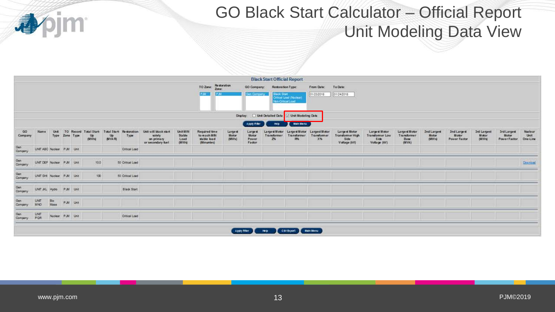

# GO Black Start Calculator – Official Report Unit Modeling Data View

|                |                          |                     |           |          |                                             |                                 |                                 |                                                                    |                                            |                                                            |                            |                                            | <b>Black Start Official Report</b> |                                             |                                       |                                                                         |                                                                 |                                                |                                       |                                      |                                       |                                             |                                    |
|----------------|--------------------------|---------------------|-----------|----------|---------------------------------------------|---------------------------------|---------------------------------|--------------------------------------------------------------------|--------------------------------------------|------------------------------------------------------------|----------------------------|--------------------------------------------|------------------------------------|---------------------------------------------|---------------------------------------|-------------------------------------------------------------------------|-----------------------------------------------------------------|------------------------------------------------|---------------------------------------|--------------------------------------|---------------------------------------|---------------------------------------------|------------------------------------|
|                |                          |                     |           |          |                                             |                                 |                                 |                                                                    |                                            | TO Zone: Restoration                                       |                            | <b>GO Company:</b>                         | Restoration Type:                  |                                             | From Date:                            | To Date:                                                                |                                                                 |                                                |                                       |                                      |                                       |                                             |                                    |
|                |                          |                     |           |          |                                             |                                 |                                 |                                                                    |                                            | <b>P.M.</b>                                                | PM                         | Gen Company                                | <b>Black Start</b>                 | Critical Load (Nuclear)<br>Non-Criscal Load | 01/23/2018                            | 01/24/2018                                                              |                                                                 |                                                |                                       |                                      |                                       |                                             |                                    |
|                |                          |                     |           |          |                                             |                                 |                                 |                                                                    |                                            |                                                            |                            | Display:                                   |                                    | Unit Detailed Data   Jinit Modeling Data    |                                       |                                                                         |                                                                 |                                                |                                       |                                      |                                       |                                             |                                    |
|                |                          |                     |           |          |                                             |                                 |                                 |                                                                    |                                            |                                                            |                            | Apply Pilet                                | <b>Help</b>                        | Main Menu                                   |                                       |                                                                         |                                                                 |                                                |                                       |                                      |                                       |                                             |                                    |
| GO<br>Company  | Name                     | <b>Unit</b><br>Type | Zone Type |          | TO Record Total Start-<br>$\frac{Up}{OUVs}$ | $\frac{\text{Up}}{\text{MVAR}}$ | Total Start-Restoration<br>Type | Unit will black start<br>solely<br>on primary<br>or secondary fuel | <b>Unit MIN</b><br>Stable<br>Load<br>(MWs) | Required time<br>to reach MRI<br>stable load<br>(Minuntes) | Largest<br>Motor<br>(WW/s) | Largest<br><b>Motor</b><br>Power<br>Factor | Largest Motor<br>Transformer<br>2% | Large st Motor<br>Transformer<br>R%         | Largest Motor<br>Transformer<br>$X\%$ | <b>Largest Motor</b><br>Transformer High<br><b>Side</b><br>Voltage (kV) | Largest Motor<br><b>Transformer Low</b><br>Side<br>Voltage (KV) | Large st Motor<br>Transformer<br>Base<br>(WVA) | 2nd Largest<br>Motor<br>$(14797 - 4)$ | 2nd Largest<br>Motor<br>Power Factor | <b>Jrd Largest</b><br>Motor<br>(MVVs) | <b>3rd Largest</b><br>Motor<br>Power Factor | <b>Nuclear</b><br>Unit<br>One Line |
| Gen<br>Company | UNT ABC Nuclear P.M Unit |                     |           |          |                                             |                                 | Critical Load                   |                                                                    |                                            |                                                            |                            |                                            |                                    |                                             |                                       |                                                                         |                                                                 |                                                |                                       |                                      |                                       |                                             |                                    |
| Gen<br>Company | UNT DEF Nuclear P.M Unit |                     |           |          | 10.0                                        |                                 | 50 Critical Load                |                                                                    |                                            |                                                            |                            |                                            |                                    |                                             |                                       |                                                                         |                                                                 |                                                |                                       |                                      |                                       |                                             | Download                           |
| Gen<br>Company | UNT GH Nuclear P.M Unit  |                     |           |          | $\frac{1}{2}$                               |                                 | 50 Critical Load                |                                                                    |                                            |                                                            |                            |                                            |                                    |                                             |                                       |                                                                         |                                                                 |                                                |                                       |                                      |                                       |                                             |                                    |
| Gen<br>Company | UNT JCL Hyde             |                     | P.M Unit  |          |                                             |                                 | <b>Black Start</b>              |                                                                    |                                            |                                                            |                            |                                            |                                    |                                             |                                       |                                                                         |                                                                 |                                                |                                       |                                      |                                       |                                             |                                    |
| Gen<br>Company | UNT<br>MNO               | Bio<br>Mass         |           | P.M Unit |                                             |                                 |                                 |                                                                    |                                            |                                                            |                            |                                            |                                    |                                             |                                       |                                                                         |                                                                 |                                                |                                       |                                      |                                       |                                             |                                    |
| Gen<br>Company | UNT<br>PQR               | Nuclear P.M Unit    |           |          |                                             |                                 | Critical Load                   |                                                                    |                                            |                                                            |                            |                                            |                                    |                                             |                                       |                                                                         |                                                                 |                                                |                                       |                                      |                                       |                                             |                                    |
|                |                          |                     |           |          |                                             |                                 |                                 |                                                                    |                                            |                                                            | Apply Filter               |                                            | Holp                               | CSV Export Main Menu                        |                                       |                                                                         |                                                                 |                                                |                                       |                                      |                                       |                                             |                                    |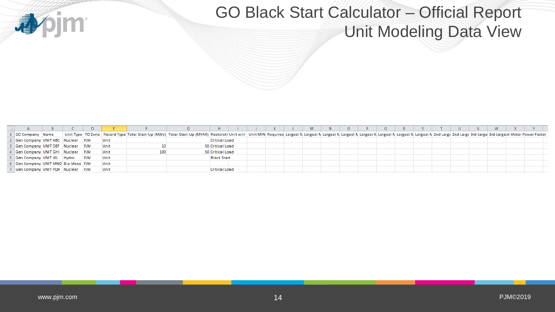

# GO Black Start Calculator – Official Report Unit Modeling Data View

|                                      |  |            |      |                                                                                                                                                                                                                                |                    |  |  | M. | N. | $\circ$ |  |  |  | W. |  |  |
|--------------------------------------|--|------------|------|--------------------------------------------------------------------------------------------------------------------------------------------------------------------------------------------------------------------------------|--------------------|--|--|----|----|---------|--|--|--|----|--|--|
| GO Company Name                      |  |            |      | Unit Type   TO Zone   Record Type   Total Start-Up (MWs)   Total Start-Up (MVAR)   Restorati Unit will   Unit MIN Required Largest N Largest N Largest N Largest N Largest N Largest N Largest N Largest N Largest N Largest N |                    |  |  |    |    |         |  |  |  |    |  |  |
| Gen Company UNIT ABC   Nuclear   PJM |  |            | Unit |                                                                                                                                                                                                                                | Critical Load      |  |  |    |    |         |  |  |  |    |  |  |
| Gen Company UNIT DEF Nuclear PJM     |  |            | Unit |                                                                                                                                                                                                                                | 50 Critical Load   |  |  |    |    |         |  |  |  |    |  |  |
| 4 Gen Company UNIT GHI Nuclear PJM   |  |            | Unit |                                                                                                                                                                                                                                | 50 Critical Load   |  |  |    |    |         |  |  |  |    |  |  |
| Gen Company UNIT JKL Hydro           |  | <b>PJM</b> | Unit |                                                                                                                                                                                                                                | <b>Black Start</b> |  |  |    |    |         |  |  |  |    |  |  |
| 6 Gen Company UNIT MNO Bio Mass PJM  |  |            | Unit |                                                                                                                                                                                                                                |                    |  |  |    |    |         |  |  |  |    |  |  |
| Gen Company UNIT PQR Nuclear PJM     |  |            | Unit |                                                                                                                                                                                                                                | Critical Load      |  |  |    |    |         |  |  |  |    |  |  |